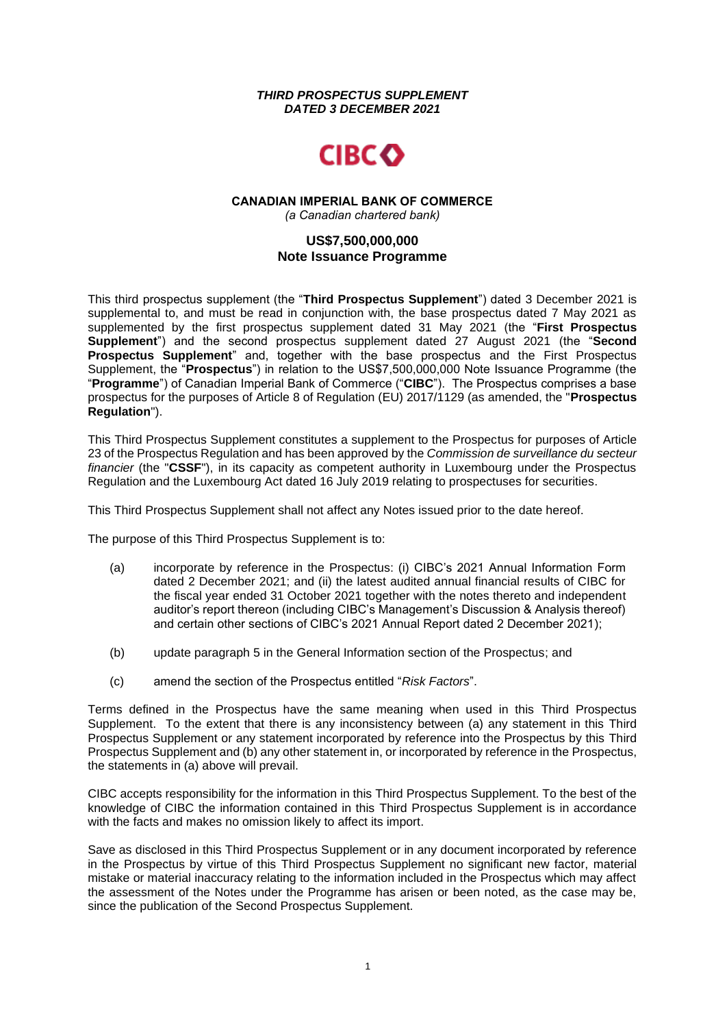### *THIRD PROSPECTUS SUPPLEMENT DATED 3 DECEMBER 2021*



#### **CANADIAN IMPERIAL BANK OF COMMERCE** *(a Canadian chartered bank)*

# **US\$7,500,000,000 Note Issuance Programme**

This third prospectus supplement (the "**Third Prospectus Supplement**") dated 3 December 2021 is supplemental to, and must be read in conjunction with, the base prospectus dated 7 May 2021 as supplemented by the first prospectus supplement dated 31 May 2021 (the "**First Prospectus Supplement**") and the second prospectus supplement dated 27 August 2021 (the "**Second Prospectus Supplement**" and, together with the base prospectus and the First Prospectus Supplement, the "**Prospectus**") in relation to the US\$7,500,000,000 Note Issuance Programme (the "**Programme**") of Canadian Imperial Bank of Commerce ("**CIBC**"). The Prospectus comprises a base prospectus for the purposes of Article 8 of Regulation (EU) 2017/1129 (as amended, the "**Prospectus Regulation**").

This Third Prospectus Supplement constitutes a supplement to the Prospectus for purposes of Article 23 of the Prospectus Regulation and has been approved by the *Commission de surveillance du secteur financier* (the "**CSSF**"), in its capacity as competent authority in Luxembourg under the Prospectus Regulation and the Luxembourg Act dated 16 July 2019 relating to prospectuses for securities.

This Third Prospectus Supplement shall not affect any Notes issued prior to the date hereof.

The purpose of this Third Prospectus Supplement is to:

- (a) incorporate by reference in the Prospectus: (i) CIBC's 2021 Annual Information Form dated 2 December 2021; and (ii) the latest audited annual financial results of CIBC for the fiscal year ended 31 October 2021 together with the notes thereto and independent auditor's report thereon (including CIBC's Management's Discussion & Analysis thereof) and certain other sections of CIBC's 2021 Annual Report dated 2 December 2021);
- (b) update paragraph 5 in the General Information section of the Prospectus; and
- (c) amend the section of the Prospectus entitled "*Risk Factors*".

Terms defined in the Prospectus have the same meaning when used in this Third Prospectus Supplement. To the extent that there is any inconsistency between (a) any statement in this Third Prospectus Supplement or any statement incorporated by reference into the Prospectus by this Third Prospectus Supplement and (b) any other statement in, or incorporated by reference in the Prospectus, the statements in (a) above will prevail.

CIBC accepts responsibility for the information in this Third Prospectus Supplement. To the best of the knowledge of CIBC the information contained in this Third Prospectus Supplement is in accordance with the facts and makes no omission likely to affect its import.

Save as disclosed in this Third Prospectus Supplement or in any document incorporated by reference in the Prospectus by virtue of this Third Prospectus Supplement no significant new factor, material mistake or material inaccuracy relating to the information included in the Prospectus which may affect the assessment of the Notes under the Programme has arisen or been noted, as the case may be, since the publication of the Second Prospectus Supplement.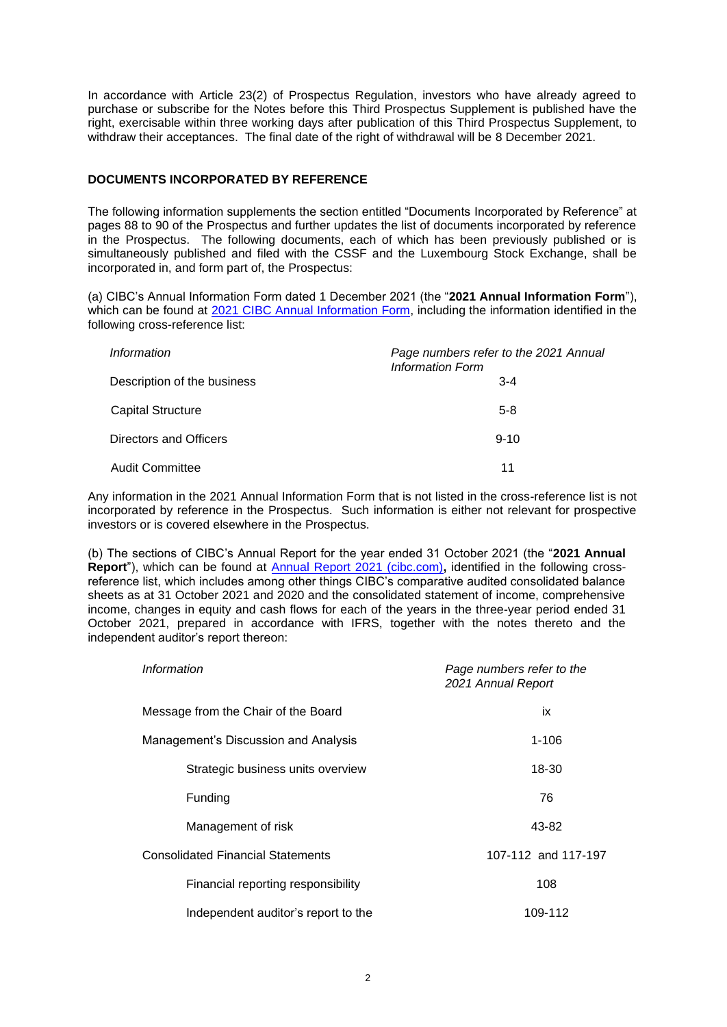In accordance with Article 23(2) of Prospectus Regulation, investors who have already agreed to purchase or subscribe for the Notes before this Third Prospectus Supplement is published have the right, exercisable within three working days after publication of this Third Prospectus Supplement, to withdraw their acceptances. The final date of the right of withdrawal will be 8 December 2021.

### **DOCUMENTS INCORPORATED BY REFERENCE**

The following information supplements the section entitled "Documents Incorporated by Reference" at pages 88 to 90 of the Prospectus and further updates the list of documents incorporated by reference in the Prospectus. The following documents, each of which has been previously published or is simultaneously published and filed with the CSSF and the Luxembourg Stock Exchange, shall be incorporated in, and form part of, the Prospectus:

(a) CIBC's Annual Information Form dated 1 December 2021 (the "**2021 Annual Information Form**"), which can be found at [2021 CIBC Annual Information Form,](https://www.cibc.com/content/dam/about_cibc/investor_relations/pdfs/quarterly_results/2021/2021-annual-info-form-en.pdf) including the information identified in the following cross-reference list:

| Information                 | Page numbers refer to the 2021 Annual<br><b>Information Form</b> |
|-----------------------------|------------------------------------------------------------------|
| Description of the business | $3 - 4$                                                          |
| <b>Capital Structure</b>    | $5-8$                                                            |
| Directors and Officers      | $9 - 10$                                                         |
| <b>Audit Committee</b>      | 11                                                               |

Any information in the 2021 Annual Information Form that is not listed in the cross-reference list is not incorporated by reference in the Prospectus. Such information is either not relevant for prospective investors or is covered elsewhere in the Prospectus.

(b) The sections of CIBC's Annual Report for the year ended 31 October 2021 (the "**2021 Annual Report**"), which can be found at [Annual Report 2021 \(cibc.com\)](https://www.cibc.com/content/dam/about_cibc/investor_relations/pdfs/quarterly_results/2021/ar-21-en.pdf)**,** identified in the following crossreference list, which includes among other things CIBC's comparative audited consolidated balance sheets as at 31 October 2021 and 2020 and the consolidated statement of income, comprehensive income, changes in equity and cash flows for each of the years in the three-year period ended 31 October 2021, prepared in accordance with IFRS, together with the notes thereto and the independent auditor's report thereon:

| Information                              | Page numbers refer to the<br>2021 Annual Report |
|------------------------------------------|-------------------------------------------------|
| Message from the Chair of the Board      | ix                                              |
| Management's Discussion and Analysis     | $1 - 106$                                       |
| Strategic business units overview        | 18-30                                           |
| Funding                                  | 76                                              |
| Management of risk                       | 43-82                                           |
| <b>Consolidated Financial Statements</b> | 107-112 and 117-197                             |
| Financial reporting responsibility       | 108                                             |
| Independent auditor's report to the      | 109-112                                         |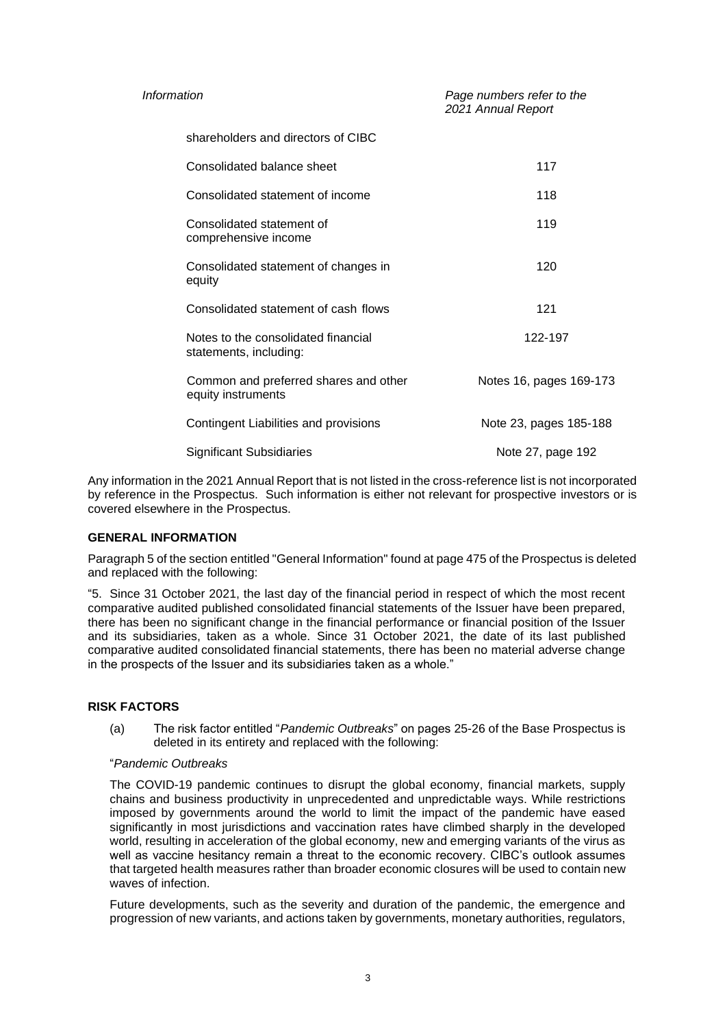| Information                                                   | Page numbers refer to the<br>2021 Annual Report |
|---------------------------------------------------------------|-------------------------------------------------|
| shareholders and directors of CIBC                            |                                                 |
| Consolidated balance sheet                                    | 117                                             |
| Consolidated statement of income                              | 118                                             |
| Consolidated statement of<br>comprehensive income             | 119                                             |
| Consolidated statement of changes in<br>equity                | 120                                             |
| Consolidated statement of cash flows                          | 121                                             |
| Notes to the consolidated financial<br>statements, including: | 122-197                                         |
| Common and preferred shares and other<br>equity instruments   | Notes 16, pages 169-173                         |
| Contingent Liabilities and provisions                         | Note 23, pages 185-188                          |
| <b>Significant Subsidiaries</b>                               | Note 27, page 192                               |

Any information in the 2021 Annual Report that is not listed in the cross-reference list is not incorporated by reference in the Prospectus. Such information is either not relevant for prospective investors or is covered elsewhere in the Prospectus.

## **GENERAL INFORMATION**

Paragraph 5 of the section entitled "General Information" found at page 475 of the Prospectus is deleted and replaced with the following:

"5. Since 31 October 2021, the last day of the financial period in respect of which the most recent comparative audited published consolidated financial statements of the Issuer have been prepared, there has been no significant change in the financial performance or financial position of the Issuer and its subsidiaries, taken as a whole. Since 31 October 2021, the date of its last published comparative audited consolidated financial statements, there has been no material adverse change in the prospects of the Issuer and its subsidiaries taken as a whole."

## **RISK FACTORS**

(a) The risk factor entitled "*Pandemic Outbreaks*" on pages 25-26 of the Base Prospectus is deleted in its entirety and replaced with the following:

#### "*Pandemic Outbreaks*

The COVID-19 pandemic continues to disrupt the global economy, financial markets, supply chains and business productivity in unprecedented and unpredictable ways. While restrictions imposed by governments around the world to limit the impact of the pandemic have eased significantly in most jurisdictions and vaccination rates have climbed sharply in the developed world, resulting in acceleration of the global economy, new and emerging variants of the virus as well as vaccine hesitancy remain a threat to the economic recovery. CIBC's outlook assumes that targeted health measures rather than broader economic closures will be used to contain new waves of infection.

Future developments, such as the severity and duration of the pandemic, the emergence and progression of new variants, and actions taken by governments, monetary authorities, regulators,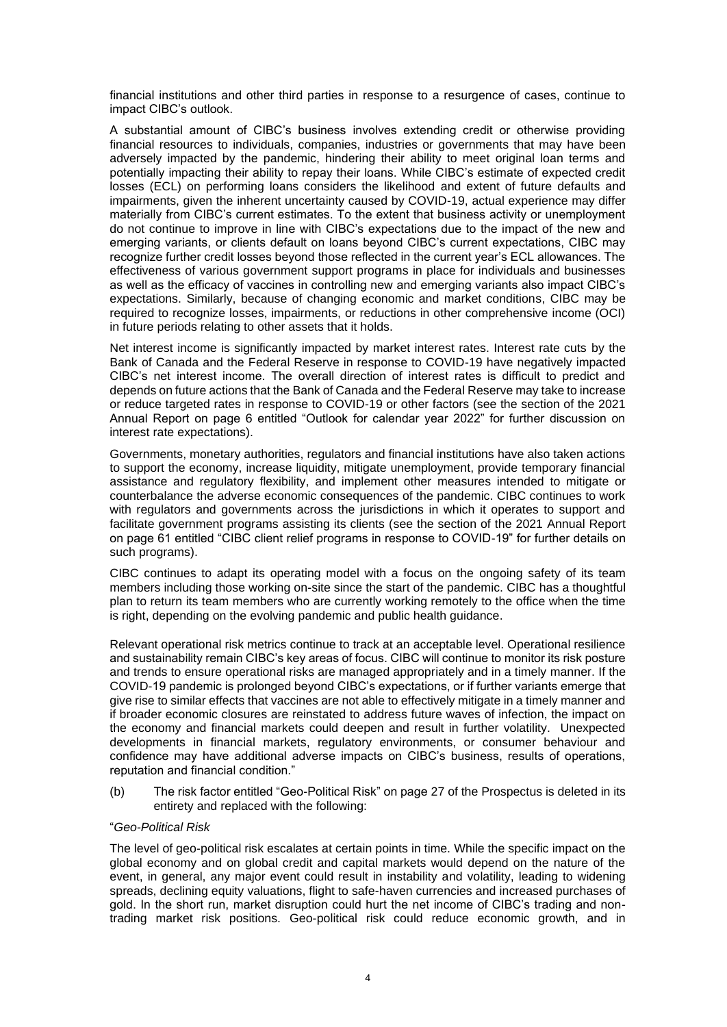financial institutions and other third parties in response to a resurgence of cases, continue to impact CIBC's outlook.

A substantial amount of CIBC's business involves extending credit or otherwise providing financial resources to individuals, companies, industries or governments that may have been adversely impacted by the pandemic, hindering their ability to meet original loan terms and potentially impacting their ability to repay their loans. While CIBC's estimate of expected credit losses (ECL) on performing loans considers the likelihood and extent of future defaults and impairments, given the inherent uncertainty caused by COVID-19, actual experience may differ materially from CIBC's current estimates. To the extent that business activity or unemployment do not continue to improve in line with CIBC's expectations due to the impact of the new and emerging variants, or clients default on loans beyond CIBC's current expectations, CIBC may recognize further credit losses beyond those reflected in the current year's ECL allowances. The effectiveness of various government support programs in place for individuals and businesses as well as the efficacy of vaccines in controlling new and emerging variants also impact CIBC's expectations. Similarly, because of changing economic and market conditions, CIBC may be required to recognize losses, impairments, or reductions in other comprehensive income (OCI) in future periods relating to other assets that it holds.

Net interest income is significantly impacted by market interest rates. Interest rate cuts by the Bank of Canada and the Federal Reserve in response to COVID-19 have negatively impacted CIBC's net interest income. The overall direction of interest rates is difficult to predict and depends on future actions that the Bank of Canada and the Federal Reserve may take to increase or reduce targeted rates in response to COVID-19 or other factors (see the section of the 2021 Annual Report on page 6 entitled "Outlook for calendar year 2022" for further discussion on interest rate expectations).

Governments, monetary authorities, regulators and financial institutions have also taken actions to support the economy, increase liquidity, mitigate unemployment, provide temporary financial assistance and regulatory flexibility, and implement other measures intended to mitigate or counterbalance the adverse economic consequences of the pandemic. CIBC continues to work with regulators and governments across the jurisdictions in which it operates to support and facilitate government programs assisting its clients (see the section of the 2021 Annual Report on page 61 entitled "CIBC client relief programs in response to COVID-19" for further details on such programs).

CIBC continues to adapt its operating model with a focus on the ongoing safety of its team members including those working on-site since the start of the pandemic. CIBC has a thoughtful plan to return its team members who are currently working remotely to the office when the time is right, depending on the evolving pandemic and public health guidance.

Relevant operational risk metrics continue to track at an acceptable level. Operational resilience and sustainability remain CIBC's key areas of focus. CIBC will continue to monitor its risk posture and trends to ensure operational risks are managed appropriately and in a timely manner. If the COVID-19 pandemic is prolonged beyond CIBC's expectations, or if further variants emerge that give rise to similar effects that vaccines are not able to effectively mitigate in a timely manner and if broader economic closures are reinstated to address future waves of infection, the impact on the economy and financial markets could deepen and result in further volatility. Unexpected developments in financial markets, regulatory environments, or consumer behaviour and confidence may have additional adverse impacts on CIBC's business, results of operations, reputation and financial condition."

(b) The risk factor entitled "Geo-Political Risk" on page 27 of the Prospectus is deleted in its entirety and replaced with the following:

### "*Geo-Political Risk*

The level of geo-political risk escalates at certain points in time. While the specific impact on the global economy and on global credit and capital markets would depend on the nature of the event, in general, any major event could result in instability and volatility, leading to widening spreads, declining equity valuations, flight to safe-haven currencies and increased purchases of gold. In the short run, market disruption could hurt the net income of CIBC's trading and nontrading market risk positions. Geo-political risk could reduce economic growth, and in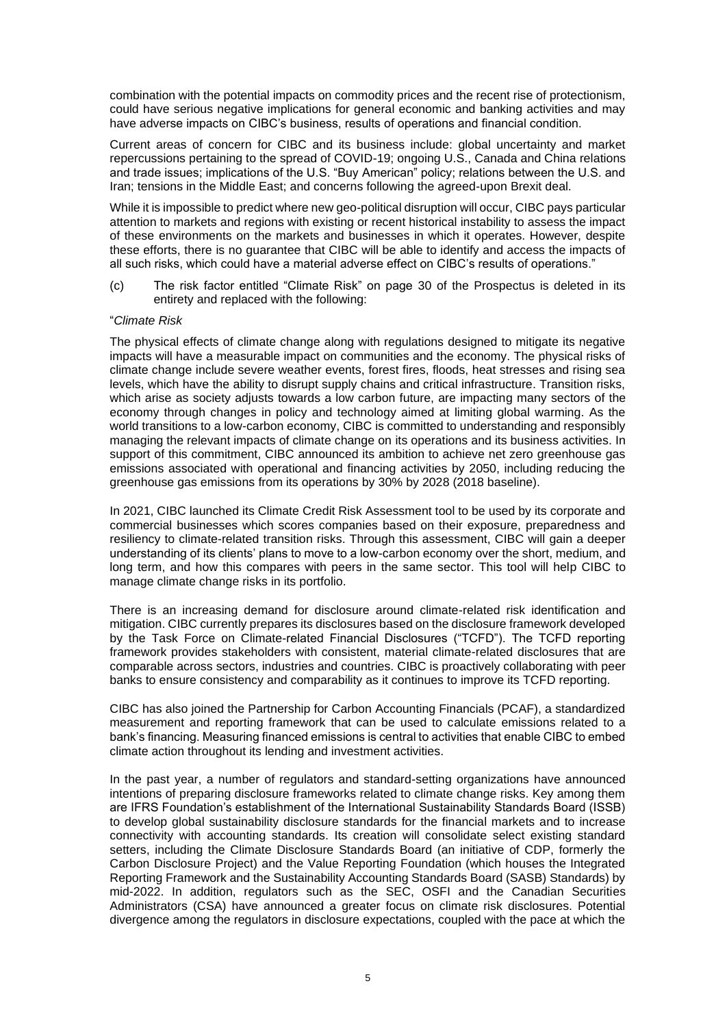combination with the potential impacts on commodity prices and the recent rise of protectionism, could have serious negative implications for general economic and banking activities and may have adverse impacts on CIBC's business, results of operations and financial condition.

Current areas of concern for CIBC and its business include: global uncertainty and market repercussions pertaining to the spread of COVID-19; ongoing U.S., Canada and China relations and trade issues; implications of the U.S. "Buy American" policy; relations between the U.S. and Iran; tensions in the Middle East; and concerns following the agreed-upon Brexit deal.

While it is impossible to predict where new geo-political disruption will occur, CIBC pays particular attention to markets and regions with existing or recent historical instability to assess the impact of these environments on the markets and businesses in which it operates. However, despite these efforts, there is no guarantee that CIBC will be able to identify and access the impacts of all such risks, which could have a material adverse effect on CIBC's results of operations."

(c) The risk factor entitled "Climate Risk" on page 30 of the Prospectus is deleted in its entirety and replaced with the following:

#### "*Climate Risk*

The physical effects of climate change along with regulations designed to mitigate its negative impacts will have a measurable impact on communities and the economy. The physical risks of climate change include severe weather events, forest fires, floods, heat stresses and rising sea levels, which have the ability to disrupt supply chains and critical infrastructure. Transition risks, which arise as society adjusts towards a low carbon future, are impacting many sectors of the economy through changes in policy and technology aimed at limiting global warming. As the world transitions to a low-carbon economy, CIBC is committed to understanding and responsibly managing the relevant impacts of climate change on its operations and its business activities. In support of this commitment, CIBC announced its ambition to achieve net zero greenhouse gas emissions associated with operational and financing activities by 2050, including reducing the greenhouse gas emissions from its operations by 30% by 2028 (2018 baseline).

In 2021, CIBC launched its Climate Credit Risk Assessment tool to be used by its corporate and commercial businesses which scores companies based on their exposure, preparedness and resiliency to climate-related transition risks. Through this assessment, CIBC will gain a deeper understanding of its clients' plans to move to a low-carbon economy over the short, medium, and long term, and how this compares with peers in the same sector. This tool will help CIBC to manage climate change risks in its portfolio.

There is an increasing demand for disclosure around climate-related risk identification and mitigation. CIBC currently prepares its disclosures based on the disclosure framework developed by the Task Force on Climate-related Financial Disclosures ("TCFD"). The TCFD reporting framework provides stakeholders with consistent, material climate-related disclosures that are comparable across sectors, industries and countries. CIBC is proactively collaborating with peer banks to ensure consistency and comparability as it continues to improve its TCFD reporting.

CIBC has also joined the Partnership for Carbon Accounting Financials (PCAF), a standardized measurement and reporting framework that can be used to calculate emissions related to a bank's financing. Measuring financed emissions is central to activities that enable CIBC to embed climate action throughout its lending and investment activities.

In the past year, a number of regulators and standard-setting organizations have announced intentions of preparing disclosure frameworks related to climate change risks. Key among them are IFRS Foundation's establishment of the International Sustainability Standards Board (ISSB) to develop global sustainability disclosure standards for the financial markets and to increase connectivity with accounting standards. Its creation will consolidate select existing standard setters, including the Climate Disclosure Standards Board (an initiative of CDP, formerly the Carbon Disclosure Project) and the Value Reporting Foundation (which houses the Integrated Reporting Framework and the Sustainability Accounting Standards Board (SASB) Standards) by mid-2022. In addition, regulators such as the SEC, OSFI and the Canadian Securities Administrators (CSA) have announced a greater focus on climate risk disclosures. Potential divergence among the regulators in disclosure expectations, coupled with the pace at which the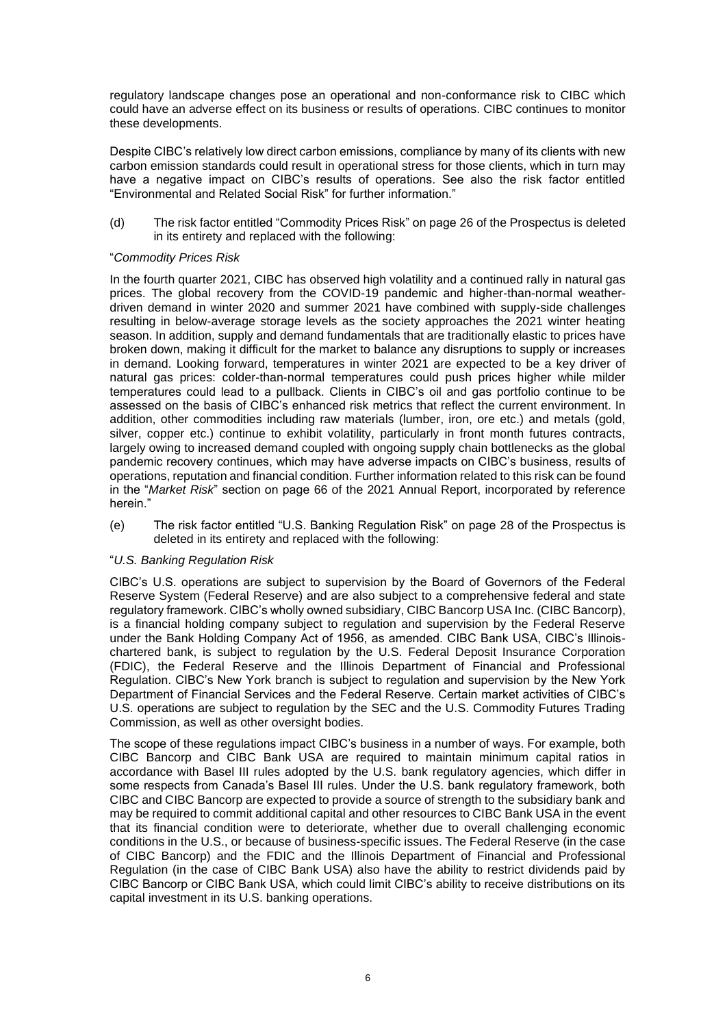regulatory landscape changes pose an operational and non-conformance risk to CIBC which could have an adverse effect on its business or results of operations. CIBC continues to monitor these developments.

Despite CIBC's relatively low direct carbon emissions, compliance by many of its clients with new carbon emission standards could result in operational stress for those clients, which in turn may have a negative impact on CIBC's results of operations. See also the risk factor entitled "Environmental and Related Social Risk" for further information."

(d) The risk factor entitled "Commodity Prices Risk" on page 26 of the Prospectus is deleted in its entirety and replaced with the following:

### "*Commodity Prices Risk*

In the fourth quarter 2021, CIBC has observed high volatility and a continued rally in natural gas prices. The global recovery from the COVID-19 pandemic and higher-than-normal weatherdriven demand in winter 2020 and summer 2021 have combined with supply-side challenges resulting in below-average storage levels as the society approaches the 2021 winter heating season. In addition, supply and demand fundamentals that are traditionally elastic to prices have broken down, making it difficult for the market to balance any disruptions to supply or increases in demand. Looking forward, temperatures in winter 2021 are expected to be a key driver of natural gas prices: colder-than-normal temperatures could push prices higher while milder temperatures could lead to a pullback. Clients in CIBC's oil and gas portfolio continue to be assessed on the basis of CIBC's enhanced risk metrics that reflect the current environment. In addition, other commodities including raw materials (lumber, iron, ore etc.) and metals (gold, silver, copper etc.) continue to exhibit volatility, particularly in front month futures contracts, largely owing to increased demand coupled with ongoing supply chain bottlenecks as the global pandemic recovery continues, which may have adverse impacts on CIBC's business, results of operations, reputation and financial condition. Further information related to this risk can be found in the "*Market Risk*" section on page 66 of the 2021 Annual Report, incorporated by reference herein."

(e) The risk factor entitled "U.S. Banking Regulation Risk" on page 28 of the Prospectus is deleted in its entirety and replaced with the following:

## "*U.S. Banking Regulation Risk*

CIBC's U.S. operations are subject to supervision by the Board of Governors of the Federal Reserve System (Federal Reserve) and are also subject to a comprehensive federal and state regulatory framework. CIBC's wholly owned subsidiary, CIBC Bancorp USA Inc. (CIBC Bancorp), is a financial holding company subject to regulation and supervision by the Federal Reserve under the Bank Holding Company Act of 1956, as amended. CIBC Bank USA, CIBC's Illinoischartered bank, is subject to regulation by the U.S. Federal Deposit Insurance Corporation (FDIC), the Federal Reserve and the Illinois Department of Financial and Professional Regulation. CIBC's New York branch is subject to regulation and supervision by the New York Department of Financial Services and the Federal Reserve. Certain market activities of CIBC's U.S. operations are subject to regulation by the SEC and the U.S. Commodity Futures Trading Commission, as well as other oversight bodies.

The scope of these regulations impact CIBC's business in a number of ways. For example, both CIBC Bancorp and CIBC Bank USA are required to maintain minimum capital ratios in accordance with Basel III rules adopted by the U.S. bank regulatory agencies, which differ in some respects from Canada's Basel III rules. Under the U.S. bank regulatory framework, both CIBC and CIBC Bancorp are expected to provide a source of strength to the subsidiary bank and may be required to commit additional capital and other resources to CIBC Bank USA in the event that its financial condition were to deteriorate, whether due to overall challenging economic conditions in the U.S., or because of business-specific issues. The Federal Reserve (in the case of CIBC Bancorp) and the FDIC and the Illinois Department of Financial and Professional Regulation (in the case of CIBC Bank USA) also have the ability to restrict dividends paid by CIBC Bancorp or CIBC Bank USA, which could limit CIBC's ability to receive distributions on its capital investment in its U.S. banking operations.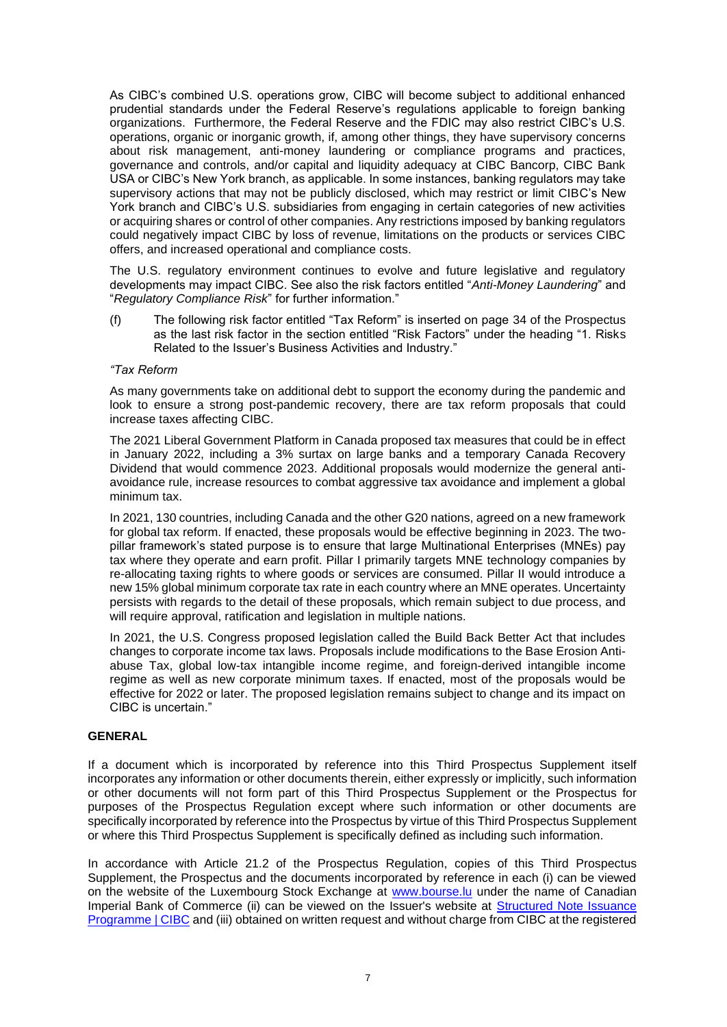As CIBC's combined U.S. operations grow, CIBC will become subject to additional enhanced prudential standards under the Federal Reserve's regulations applicable to foreign banking organizations. Furthermore, the Federal Reserve and the FDIC may also restrict CIBC's U.S. operations, organic or inorganic growth, if, among other things, they have supervisory concerns about risk management, anti-money laundering or compliance programs and practices, governance and controls, and/or capital and liquidity adequacy at CIBC Bancorp, CIBC Bank USA or CIBC's New York branch, as applicable. In some instances, banking regulators may take supervisory actions that may not be publicly disclosed, which may restrict or limit CIBC's New York branch and CIBC's U.S. subsidiaries from engaging in certain categories of new activities or acquiring shares or control of other companies. Any restrictions imposed by banking regulators could negatively impact CIBC by loss of revenue, limitations on the products or services CIBC offers, and increased operational and compliance costs.

The U.S. regulatory environment continues to evolve and future legislative and regulatory developments may impact CIBC. See also the risk factors entitled "*Anti-Money Laundering*" and "*Regulatory Compliance Risk*" for further information."

(f) The following risk factor entitled "Tax Reform" is inserted on page 34 of the Prospectus as the last risk factor in the section entitled "Risk Factors" under the heading "1. Risks Related to the Issuer's Business Activities and Industry."

#### *"Tax Reform*

As many governments take on additional debt to support the economy during the pandemic and look to ensure a strong post-pandemic recovery, there are tax reform proposals that could increase taxes affecting CIBC.

The 2021 Liberal Government Platform in Canada proposed tax measures that could be in effect in January 2022, including a 3% surtax on large banks and a temporary Canada Recovery Dividend that would commence 2023. Additional proposals would modernize the general antiavoidance rule, increase resources to combat aggressive tax avoidance and implement a global minimum tax.

In 2021, 130 countries, including Canada and the other G20 nations, agreed on a new framework for global tax reform. If enacted, these proposals would be effective beginning in 2023. The twopillar framework's stated purpose is to ensure that large Multinational Enterprises (MNEs) pay tax where they operate and earn profit. Pillar I primarily targets MNE technology companies by re-allocating taxing rights to where goods or services are consumed. Pillar II would introduce a new 15% global minimum corporate tax rate in each country where an MNE operates. Uncertainty persists with regards to the detail of these proposals, which remain subject to due process, and will require approval, ratification and legislation in multiple nations.

In 2021, the U.S. Congress proposed legislation called the Build Back Better Act that includes changes to corporate income tax laws. Proposals include modifications to the Base Erosion Antiabuse Tax, global low-tax intangible income regime, and foreign-derived intangible income regime as well as new corporate minimum taxes. If enacted, most of the proposals would be effective for 2022 or later. The proposed legislation remains subject to change and its impact on CIBC is uncertain."

## **GENERAL**

If a document which is incorporated by reference into this Third Prospectus Supplement itself incorporates any information or other documents therein, either expressly or implicitly, such information or other documents will not form part of this Third Prospectus Supplement or the Prospectus for purposes of the Prospectus Regulation except where such information or other documents are specifically incorporated by reference into the Prospectus by virtue of this Third Prospectus Supplement or where this Third Prospectus Supplement is specifically defined as including such information.

In accordance with Article 21.2 of the Prospectus Regulation, copies of this Third Prospectus Supplement, the Prospectus and the documents incorporated by reference in each (i) can be viewed on the website of the Luxembourg Stock Exchange at [www.bourse.lu](http://www.bourse.lu/) under the name of Canadian Imperial Bank of Commerce (ii) can be viewed on the Issuer's website at Structured Note Issuance [Programme | CIBC](https://www.cibc.com/en/about-cibc/investor-relations/debt-information/structured-note-issuance-programme.html) and (iii) obtained on written request and without charge from CIBC at the registered